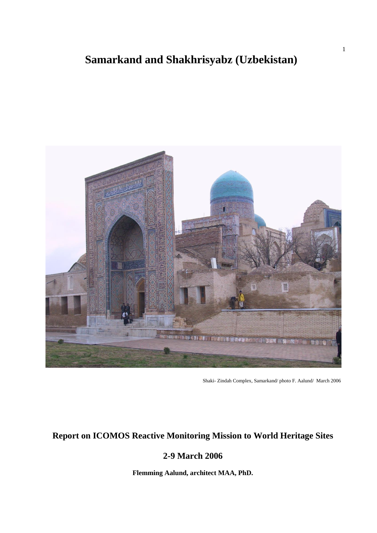# **Samarkand and Shakhrisyabz (Uzbekistan)**



Shaki- Zindah Complex, Samarkand/ photo F. Aalund/ March 2006

# **Report on ICOMOS Reactive Monitoring Mission to World Heritage Sites**

## **2-9 March 2006**

**Flemming Aalund, architect MAA, PhD.**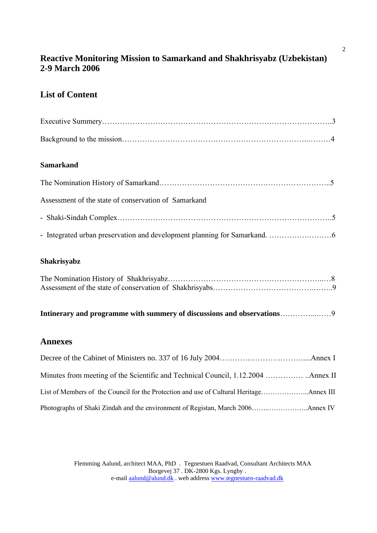## **Reactive Monitoring Mission to Samarkand and Shakhrisyabz (Uzbekistan) 2-9 March 2006**

## **List of Content**

## **Samarkand**

| Assessment of the state of conservation of Samarkand |
|------------------------------------------------------|
|                                                      |
|                                                      |

### **Shakrisyabz**

## **Intinerary and programme with summery of discussions and observations**…………...……9

## **Annexes**

Flemming Aalund, architect MAA, PhD . Tegnestuen Raadvad, Consultant Architects MAA Borgevej 37 . DK-2800 Kgs. Lyngby . e-mai[l aalund@alund.dk](mailto:aalund@alund.dk) . web address [www.tegnestuen-raadvad.dk](http://www.tegnestuen-raadvad.dk/)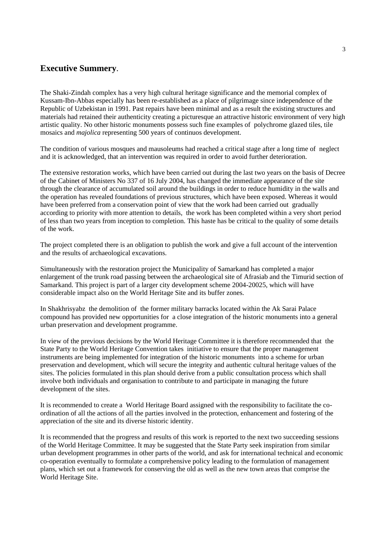## **Executive Summery**.

The Shaki-Zindah complex has a very high cultural heritage significance and the memorial complex of Kussam-Ibn-Abbas especially has been re-established as a place of pilgrimage since independence of the Republic of Uzbekistan in 1991. Past repairs have been minimal and as a result the existing structures and materials had retained their authenticity creating a picturesque an attractive historic environment of very high artistic quality. No other historic monuments possess such fine examples of polychrome glazed tiles, tile mosaics and *majolica* representing 500 years of continuos development.

The condition of various mosques and mausoleums had reached a critical stage after a long time of neglect and it is acknowledged, that an intervention was required in order to avoid further deterioration.

The extensive restoration works, which have been carried out during the last two years on the basis of Decree of the Cabinet of Ministers No 337 of 16 July 2004, has changed the immediate appearance of the site through the clearance of accumulated soil around the buildings in order to reduce humidity in the walls and the operation has revealed foundations of previous structures, which have been exposed. Whereas it would have been preferred from a conservation point of view that the work had been carried out gradually according to priority with more attention to details, the work has been completed within a very short period of less than two years from inception to completion. This haste has be critical to the quality of some details of the work.

The project completed there is an obligation to publish the work and give a full account of the intervention and the results of archaeological excavations.

Simultaneously with the restoration project the Municipality of Samarkand has completed a major enlargement of the trunk road passing between the archaeological site of Afrasiab and the Timurid section of Samarkand. This project is part of a larger city development scheme 2004-20025, which will have considerable impact also on the World Heritage Site and its buffer zones.

In Shakhrisyabz the demolition of the former military barracks located within the Ak Sarai Palace compound has provided new opportunities for a close integration of the historic monuments into a general urban preservation and development programme.

In view of the previous decisions by the World Heritage Committee it is therefore recommended that the State Party to the World Heritage Convention takes initiative to ensure that the proper management instruments are being implemented for integration of the historic monuments into a scheme for urban preservation and development, which will secure the integrity and authentic cultural heritage values of the sites. The policies formulated in this plan should derive from a public consultation process which shall involve both individuals and organisation to contribute to and participate in managing the future development of the sites.

It is recommended to create a World Heritage Board assigned with the responsibility to facilitate the coordination of all the actions of all the parties involved in the protection, enhancement and fostering of the appreciation of the site and its diverse historic identity.

It is recommended that the progress and results of this work is reported to the next two succeeding sessions of the World Heritage Committee. It may be suggested that the State Party seek inspiration from similar urban development programmes in other parts of the world, and ask for international technical and economic co-operation eventually to formulate a comprehensive policy leading to the formulation of management plans, which set out a framework for conserving the old as well as the new town areas that comprise the World Heritage Site.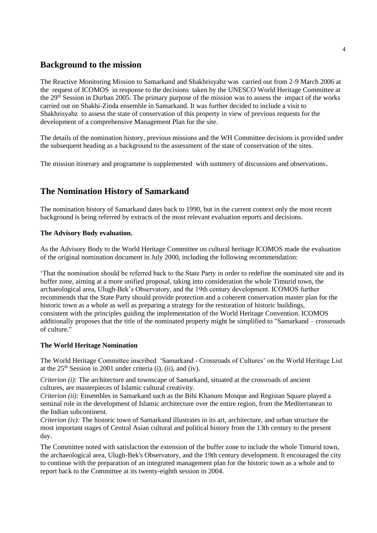## **Background to the mission**

The Reactive Monitoring Mission to Samarkand and Shakhrisyabz was carried out from 2-9 March 2006 at the request of ICOMOS in response to the decisions taken by the UNESCO World Heritage Committee at the 29th Session in Durban 2005. The primary purpose of the mission was to assess the impact of the works carried out on Shakhi-Zinda ensemble in Samarkand. It was further decided to include a visit to Shakhrisyabz to assess the state of conservation of this property in view of previous requests for the development of a comprehensive Management Plan for the site.

The details of the nomination history, previous missions and the WH Committee decisions is provided under the subsequent heading as a background to the assessment of the state of conservation of the sites.

The mission itinerary and programme is supplemented with summery of discussions and observations.

## **The Nomination History of Samarkand**

The nomination history of Samarkand dates back to 1990, but in the current context only the most recent background is being referred by extracts of the most relevant evaluation reports and decisions.

### **The Advisory Body evaluation.**

As the Advisory Body to the World Heritage Committee on cultural heritage ICOMOS made the evaluation of the original nomination document in July 2000, including the following recommendation:

'That the nomination should be referred back to the State Party in order to redefine the nominated site and its buffer zone, aiming at a more unified proposal, taking into consideration the whole Timurid town, the archaeological area, Ulugh-Bek's Observatory, and the 19th century development. ICOMOS further recommends that the State Party should provide protection and a coherent conservation master plan for the historic town as a whole as well as preparing a strategy for the restoration of historic buildings, consistent with the principles guiding the implementation of the World Heritage Convention. ICOMOS additionally proposes that the title of the nominated property might be simplified to "Samarkand – crossroads of culture."

### **The World Heritage Nomination**

The World Heritage Committee inscribed 'Samarkand - Crossroads of Cultures' on the World Heritage List at the  $25<sup>th</sup>$  Session in 2001 under criteria (i), (ii), and (iv).

*Criterion (i):* The architecture and townscape of Samarkand, situated at the crossroads of ancient cultures, are masterpieces of Islamic cultural creativity.

*Criterion (ii):* Ensembles in Samarkand such as the Bibi Khanum Mosque and Registan Square played a seminal role in the development of Islamic architecture over the entire region, from the Mediterranean to the Indian subcontinent.

*Criterion (iv):* The historic town of Samarkand illustrates in its art, architecture, and urban structure the most important stages of Central Asian cultural and political history from the 13th century to the present day.

The Committee noted with satisfaction the extension of the buffer zone to include the whole Timurid town, the archaeological area, Ulugh-Bek's Observatory, and the 19th century development. It encouraged the city to continue with the preparation of an integrated management plan for the historic town as a whole and to report back to the Committee at its twenty-eighth session in 2004.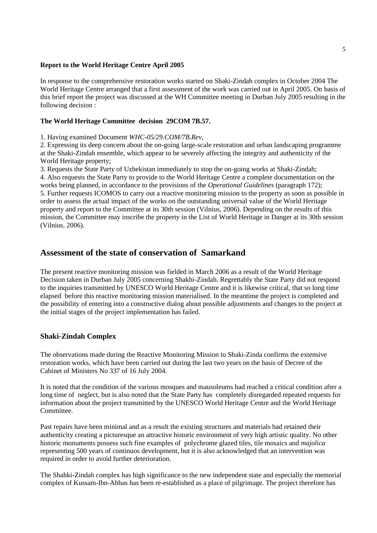#### **Report to the World Heritage Centre April 2005**

In response to the comprehensive restoration works started on Shaki-Zindah complex in October 2004 The World Heritage Centre arranged that a first assessment of the work was carried out in April 2005. On basis of this brief report the project was discussed at the WH Committee meeting in Durban July 2005 resulting in the following decision :

### **The World Heritage Committee decision 29COM 7B.57.**

1. Having examined Document *WHC-05/29.COM/7B.Rev*,

2. Expressing its deep concern about the on-going large-scale restoration and urban landscaping programme at the Shaki-Zindah ensemble, which appear to be severely affecting the integrity and authenticity of the World Heritage property;

3. Requests the State Party of Uzbekistan immediately to stop the on-going works at Shaki-Zindah; 4. Also requests the State Party to provide to the World Heritage Centre a complete documentation on the works being planned, in accordance to the provisions of the *Operational Guidelines* (paragraph 172); 5. Further requests ICOMOS to carry out a reactive monitoring mission to the property as soon as possible in order to assess the actual impact of the works on the outstanding universal value of the World Heritage property and report to the Committee at its 30th session (Vilnius, 2006). Depending on the results of this mission, the Committee may inscribe the property in the List of World Heritage in Danger at its 30th session (Vilnius, 2006).

## **Assessment of the state of conservation of Samarkand**

The present reactive monitoring mission was fielded in March 2006 as a result of the World Heritage Decision taken in Durban July 2005 concerning Shakhi-Zindah. Regrettably the State Party did not respond to the inquiries transmitted by UNESCO World Heritage Centre and it is likewise critical, that so long time elapsed before this reactive monitoring mission materialised. In the meantime the project is completed and the possibility of entering into a constructive dialog about possible adjustments and changes to the project at the initial stages of the project implementation has failed.

### **Shaki-Zindah Complex**

The observations made during the Reactive Monitoring Mission to Shaki-Zinda confirms the extensive restoration works, which have been carried out during the last two years on the basis of Decree of the Cabinet of Ministers No 337 of 16 July 2004.

It is noted that the condition of the various mosques and mausoleums had reached a critical condition after a long time of neglect, but is also noted that the State Party has completely disregarded repeated requests for information about the project transmitted by the UNESCO World Heritage Centre and the World Heritage Committee.

Past repairs have been minimal and as a result the existing structures and materials had retained their authenticity creating a picturesque an attractive historic environment of very high artistic quality. No other historic monuments possess such fine examples of polychrome glazed tiles, tile mosaics and *majolica*  representing 500 years of continuos development, but it is also acknowledged that an intervention was required in order to avoid further deterioration.

The Shahki-Zindah complex has high significance to the new independent state and especially the memorial complex of Kussam-Ibn-Abbas has been re-established as a place of pilgrimage. The project therefore has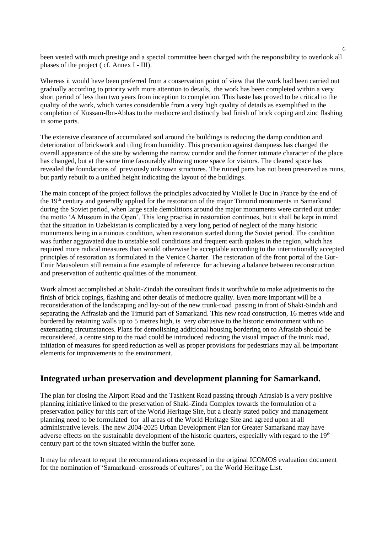been vested with much prestige and a special committee been charged with the responsibility to overlook all phases of the project ( cf. Annex I - III).

Whereas it would have been preferred from a conservation point of view that the work had been carried out gradually according to priority with more attention to details, the work has been completed within a very short period of less than two years from inception to completion. This haste has proved to be critical to the quality of the work, which varies considerable from a very high quality of details as exemplified in the completion of Kussam-Ibn-Abbas to the mediocre and distinctly bad finish of brick coping and zinc flashing in some parts.

The extensive clearance of accumulated soil around the buildings is reducing the damp condition and deterioration of brickwork and tiling from humidity. This precaution against dampness has changed the overall appearance of the site by widening the narrow corridor and the former intimate character of the place has changed, but at the same time favourably allowing more space for visitors. The cleared space has revealed the foundations of previously unknown structures. The ruined parts has not been preserved as ruins, but partly rebuilt to a unified height indicating the layout of the buildings.

The main concept of the project follows the principles advocated by Viollet le Duc in France by the end of the 19th century and generally applied for the restoration of the major Timurid monuments in Samarkand during the Soviet period, when large scale demolitions around the major monuments were carried out under the motto 'A Museum in the Open'. This long practise in restoration continues, but it shall be kept in mind that the situation in Uzbekistan is complicated by a very long period of neglect of the many historic monuments being in a ruinous condition, when restoration started during the Soviet period. The condition was further aggravated due to unstable soil conditions and frequent earth quakes in the region, which has required more radical measures than would otherwise be acceptable according to the internationally accepted principles of restoration as formulated in the Venice Charter. The restoration of the front portal of the Gur-Emir Mausoleum still remain a fine example of reference for achieving a balance between reconstruction and preservation of authentic qualities of the monument.

Work almost accomplished at Shaki-Zindah the consultant finds it worthwhile to make adjustments to the finish of brick copings, flashing and other details of mediocre quality. Even more important will be a reconsideration of the landscaping and lay-out of the new trunk-road passing in front of Shaki-Sindah and separating the Affrasiab and the Timurid part of Samarkand. This new road construction, 16 metres wide and bordered by retaining walls up to 5 metres high, is very obtrusive to the historic environment with no extenuating circumstances. Plans for demolishing additional housing bordering on to Afrasiab should be reconsidered, a centre strip to the road could be introduced reducing the visual impact of the trunk road, initiation of measures for speed reduction as well as proper provisions for pedestrians may all be important elements for improvements to the environment.

## **Integrated urban preservation and development planning for Samarkand.**

The plan for closing the Airport Road and the Tashkent Road passing through Afrasiab is a very positive planning initiative linked to the preservation of Shaki-Zinda Complex towards the formulation of a preservation policy for this part of the World Heritage Site, but a clearly stated policy and management planning need to be formulated for all areas of the World Heritage Site and agreed upon at all administrative levels. The new 2004-2025 Urban Development Plan for Greater Samarkand may have adverse effects on the sustainable development of the historic quarters, especially with regard to the 19<sup>th</sup> century part of the town situated within the buffer zone.

It may be relevant to repeat the recommendations expressed in the original ICOMOS evaluation document for the nomination of 'Samarkand- crossroads of cultures', on the World Heritage List.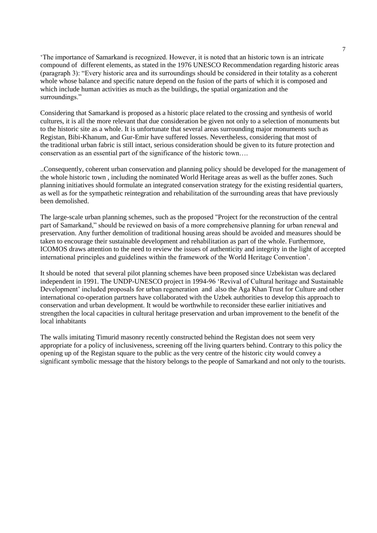'The importance of Samarkand is recognized. However, it is noted that an historic town is an intricate compound of different elements, as stated in the 1976 UNESCO Recommendation regarding historic areas (paragraph 3): "Every historic area and its surroundings should be considered in their totality as a coherent whole whose balance and specific nature depend on the fusion of the parts of which it is composed and which include human activities as much as the buildings, the spatial organization and the surroundings."

Considering that Samarkand is proposed as a historic place related to the crossing and synthesis of world cultures, it is all the more relevant that due consideration be given not only to a selection of monuments but to the historic site as a whole. It is unfortunate that several areas surrounding major monuments such as Registan, Bibi-Khanum, and Gur-Emir have suffered losses. Nevertheless, considering that most of the traditional urban fabric is still intact, serious consideration should be given to its future protection and conservation as an essential part of the significance of the historic town….

..Consequently, coherent urban conservation and planning policy should be developed for the management of the whole historic town , including the nominated World Heritage areas as well as the buffer zones. Such planning initiatives should formulate an integrated conservation strategy for the existing residential quarters, as well as for the sympathetic reintegration and rehabilitation of the surrounding areas that have previously been demolished.

The large-scale urban planning schemes, such as the proposed "Project for the reconstruction of the central part of Samarkand," should be reviewed on basis of a more comprehensive planning for urban renewal and preservation. Any further demolition of traditional housing areas should be avoided and measures should be taken to encourage their sustainable development and rehabilitation as part of the whole. Furthermore, ICOMOS draws attention to the need to review the issues of authenticity and integrity in the light of accepted international principles and guidelines within the framework of the World Heritage Convention'.

It should be noted that several pilot planning schemes have been proposed since Uzbekistan was declared independent in 1991. The UNDP-UNESCO project in 1994-96 'Revival of Cultural heritage and Sustainable Development' included proposals for urban regeneration and also the Aga Khan Trust for Culture and other international co-operation partners have collaborated with the Uzbek authorities to develop this approach to conservation and urban development. It would be worthwhile to reconsider these earlier initiatives and strengthen the local capacities in cultural heritage preservation and urban improvement to the benefit of the local inhabitants

The walls imitating Timurid masonry recently constructed behind the Registan does not seem very appropriate for a policy of inclusiveness, screening off the living quarters behind. Contrary to this policy the opening up of the Registan square to the public as the very centre of the historic city would convey a significant symbolic message that the history belongs to the people of Samarkand and not only to the tourists.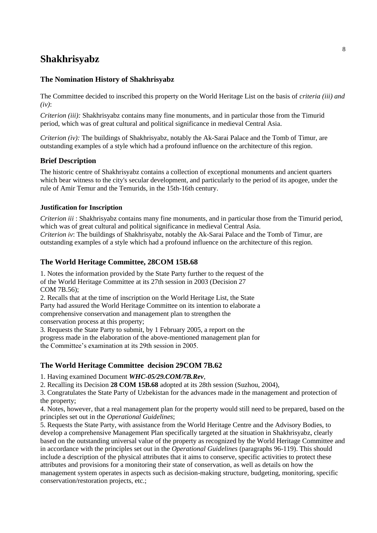## **Shakhrisyabz**

### **The Nomination History of Shakhrisyabz**

The Committee decided to inscribed this property on the World Heritage List on the basis of *criteria (iii) and (iv)*:

*Criterion (iii):* Shakhrisyabz contains many fine monuments, and in particular those from the Timurid period, which was of great cultural and political significance in medieval Central Asia.

*Criterion (iv):* The buildings of Shakhrisyabz, notably the Ak-Sarai Palace and the Tomb of Timur, are outstanding examples of a style which had a profound influence on the architecture of this region.

### **Brief Description**

The historic centre of Shakhrisyabz contains a collection of exceptional monuments and ancient quarters which bear witness to the city's secular development, and particularly to the period of its apogee, under the rule of Amir Temur and the Temurids, in the 15th-16th century.

### **Justification for Inscription**

*Criterion iii* : Shakhrisyabz contains many fine monuments, and in particular those from the Timurid period, which was of great cultural and political significance in medieval Central Asia. *Criterion iv*: The buildings of Shakhrisyabz, notably the Ak-Sarai Palace and the Tomb of Timur, are outstanding examples of a style which had a profound influence on the architecture of this region.

### **The World Heritage Committee, 28COM 15B.68**

1. Notes the information provided by the State Party further to the request of the of the World Heritage Committee at its 27th session in 2003 (Decision 27 COM 7B.56);

2. Recalls that at the time of inscription on the World Heritage List, the State Party had assured the World Heritage Committee on its intention to elaborate a comprehensive conservation and management plan to strengthen the conservation process at this property;

3. Requests the State Party to submit, by 1 February 2005, a report on the progress made in the elaboration of the above-mentioned management plan for the Committee's examination at its 29th session in 2005.

### **The World Heritage Committee decision 29COM 7B.62**

1. Having examined Document *WHC-05/29.COM/7B.Rev*,

2. Recalling its Decision **28 COM 15B.68** adopted at its 28th session (Suzhou, 2004),

3. Congratulates the State Party of Uzbekistan for the advances made in the management and protection of the property;

4. Notes, however, that a real management plan for the property would still need to be prepared, based on the principles set out in the *Operational Guidelines*;

5. Requests the State Party, with assistance from the World Heritage Centre and the Advisory Bodies, to develop a comprehensive Management Plan specifically targeted at the situation in Shakhrisyabz, clearly based on the outstanding universal value of the property as recognized by the World Heritage Committee and in accordance with the principles set out in the *Operational Guidelines* (paragraphs 96-119). This should include a description of the physical attributes that it aims to conserve, specific activities to protect these attributes and provisions for a monitoring their state of conservation, as well as details on how the management system operates in aspects such as decision-making structure, budgeting, monitoring, specific conservation/restoration projects, etc.;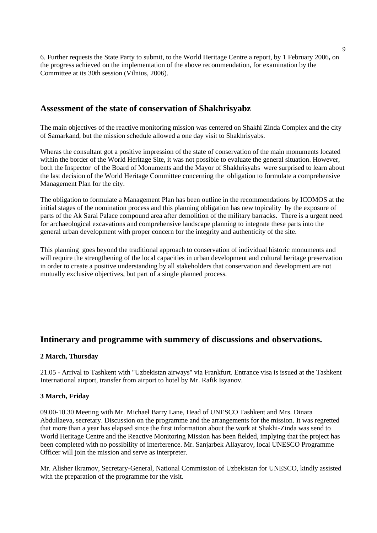6. Further requests the State Party to submit, to the World Heritage Centre a report, by 1 February 2006**,** on the progress achieved on the implementation of the above recommendation, for examination by the Committee at its 30th session (Vilnius, 2006).

## **Assessment of the state of conservation of Shakhrisyabz**

The main objectives of the reactive monitoring mission was centered on Shakhi Zinda Complex and the city of Samarkand, but the mission schedule allowed a one day visit to Shakhrisyabs.

Wheras the consultant got a positive impression of the state of conservation of the main monuments located within the border of the World Heritage Site, it was not possible to evaluate the general situation. However, both the Inspector of the Board of Monuments and the Mayor of Shakhrisyabs were surprised to learn about the last decision of the World Heritage Committee concerning the obligation to formulate a comprehensive Management Plan for the city.

The obligation to formulate a Management Plan has been outline in the recommendations by ICOMOS at the initial stages of the nomination process and this planning obligation has new topicality by the exposure of parts of the Ak Sarai Palace compound area after demolition of the military barracks. There is a urgent need for archaeological excavations and comprehensive landscape planning to integrate these parts into the general urban development with proper concern for the integrity and authenticity of the site.

This planning goes beyond the traditional approach to conservation of individual historic monuments and will require the strengthening of the local capacities in urban development and cultural heritage preservation in order to create a positive understanding by all stakeholders that conservation and development are not mutually exclusive objectives, but part of a single planned process.

## **Intinerary and programme with summery of discussions and observations.**

### **2 March, Thursday**

21.05 - Arrival to Tashkent with "Uzbekistan airways" via Frankfurt. Entrance visa is issued at the Tashkent International airport, transfer from airport to hotel by Mr. Rafik Isyanov.

### **3 March, Friday**

09.00-10.30 Meeting with Mr. Michael Barry Lane, Head of UNESCO Tashkent and Mrs. Dinara Abdullaeva, secretary. Discussion on the programme and the arrangements for the mission. It was regretted that more than a year has elapsed since the first information about the work at Shakhi-Zinda was send to World Heritage Centre and the Reactive Monitoring Mission has been fielded, implying that the project has been completed with no possibility of interference. Mr. Sanjarbek Allayarov, local UNESCO Programme Officer will join the mission and serve as interpreter.

Mr. Alisher Ikramov, Secretary-General, National Commission of Uzbekistan for UNESCO, kindly assisted with the preparation of the programme for the visit.

9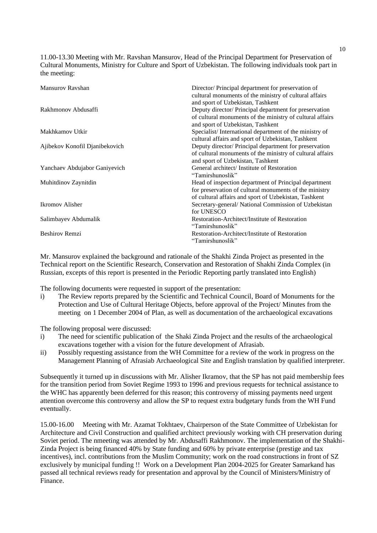11.00-13.30 Meeting with Mr. Ravshan Mansurov, Head of the Principal Department for Preservation of Cultural Monuments, Ministry for Culture and Sport of Uzbekistan. The following individuals took part in the meeting:

| Mansurov Ravshan               | Director/Principal department for preservation of<br>cultural monuments of the ministry of cultural affairs<br>and sport of Uzbekistan, Tashkent                         |
|--------------------------------|--------------------------------------------------------------------------------------------------------------------------------------------------------------------------|
| Rakhmonov Abdusaffi            | Deputy director/ Principal department for preservation<br>of cultural monuments of the ministry of cultural affairs<br>and sport of Uzbekistan, Tashkent                 |
| Makhkamov Utkir                | Specialist/International department of the ministry of<br>cultural affairs and sport of Uzbekistan, Tashkent                                                             |
| Ajibekov Konofil Djanibekovich | Deputy director/ Principal department for preservation<br>of cultural monuments of the ministry of cultural affairs<br>and sport of Uzbekistan, Tashkent                 |
| Yanchaev Abdujabor Ganiyevich  | General architect/Institute of Restoration<br>"Tamirshunoslik"                                                                                                           |
| Muhitdinov Zaynitdin           | Head of inspection department of Principal department<br>for preservation of cultural monuments of the ministry<br>of cultural affairs and sport of Uzbekistan, Tashkent |
| <b>Ikromov</b> Alisher         | Secretary-general/ National Commission of Uzbekistan<br>for UNESCO                                                                                                       |
| Salimbayev Abdumalik           | Restoration-Architect/Institute of Restoration<br>"Tamirshunoslik"                                                                                                       |
| <b>Beshirov Remzi</b>          | Restoration-Architect/Institute of Restoration<br>"Tamirshunoslik"                                                                                                       |

Mr. Mansurov explained the background and rationale of the Shakhi Zinda Project as presented in the Technical report on the Scientific Research, Conservation and Restoration of Shakhi Zinda Complex (in Russian, excepts of this report is presented in the Periodic Reporting partly translated into English)

The following documents were requested in support of the presentation:

i) The Review reports prepared by the Scientific and Technical Council, Board of Monuments for the Protection and Use of Cultural Heritage Objects, before approval of the Project/ Minutes from the meeting on 1 December 2004 of Plan, as well as documentation of the archaeological excavations

The following proposal were discussed:

- i) The need for scientific publication of the Shaki Zinda Project and the results of the archaeological excavations together with a vision for the future development of Afrasiab.
- ii) Possibly requesting assistance from the WH Committee for a review of the work in progress on the Management Planning of Afrasiab Archaeological Site and English translation by qualified interpreter.

Subsequently it turned up in discussions with Mr. Alisher Ikramov, that the SP has not paid membership fees for the transition period from Soviet Regime 1993 to 1996 and previous requests for technical assistance to the WHC has apparently been deferred for this reason; this controversy of missing payments need urgent attention overcome this controversy and allow the SP to request extra budgetary funds from the WH Fund eventually.

15.00-16.00 Meeting with Mr. Azamat Tokhtaev, Chairperson of the State Committee of Uzbekistan for Architecture and Civil Construction and qualified architect previously working with CH preservation during Soviet period. The nmeeting was attended by Mr. Abdusaffi Rakhmonov. The implementation of the Shakhi-Zinda Project is being financed 40% by State funding and 60% by private enterprise (prestige and tax incentives), incl. contributions from the Muslim Community; work on the road constructions in front of SZ exclusively by municipal funding !! Work on a Development Plan 2004-2025 for Greater Samarkand has passed all technical reviews ready for presentation and approval by the Council of Ministers/Ministry of Finance.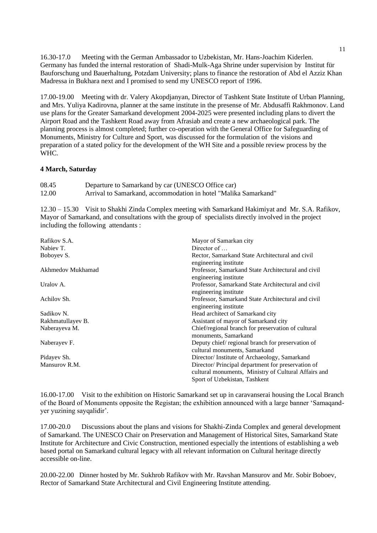16.30-17.0 Meeting with the German Ambassador to Uzbekistan, Mr. Hans-Joachim Kiderlen. Germany has funded the internal restoration of Shadi-Mulk-Aga Shrine under supervision by Institut für Bauforschung und Bauerhaltung, Potzdam University; plans to finance the restoration of Abd el Azziz Khan Madressa in Bukhara next and I promised to send my UNESCO report of 1996.

17.00-19.00 Meeting with dr. Valery Akopdjanyan, Director of Tashkent State Institute of Urban Planning, and Mrs. Yuliya Kadirovna, planner at the same institute in the presense of Mr. Abdusaffi Rakhmonov. Land use plans for the Greater Samarkand development 2004-2025 were presented including plans to divert the Airport Road and the Tashkent Road away from Afrasiab and create a new archaeological park. The planning process is almost completed; further co-operation with the General Office for Safeguarding of Monuments, Ministry for Culture and Sport, was discussed for the formulation of the visions and preparation of a stated policy for the development of the WH Site and a possible review process by the WHC.

### **4 March, Saturday**

| 08.45 | Departure to Samarkand by car (UNESCO Office car)               |
|-------|-----------------------------------------------------------------|
| 12.00 | Arrival to Samarkand, accommodation in hotel "Malika Samarkand" |

12.30 – 15.30 Visit to Shakhi Zinda Complex meeting with Samarkand Hakimiyat and Mr. S.A. Rafikov, Mayor of Samarkand, and consultations with the group of specialists directly involved in the project including the following attendants :

| Rafikov S.A.          | Mayor of Samarkan city                                                                                                                      |
|-----------------------|---------------------------------------------------------------------------------------------------------------------------------------------|
| Nabiev T.             | Director of $\dots$                                                                                                                         |
| Boboyev S.            | Rector, Samarkand State Architectural and civil<br>engineering institute                                                                    |
| Akhmedov Mukhamad     | Professor, Samarkand State Architectural and civil<br>engineering institute                                                                 |
| Uralov A.             | Professor, Samarkand State Architectural and civil<br>engineering institute                                                                 |
| Achilov Sh.           | Professor, Samarkand State Architectural and civil<br>engineering institute                                                                 |
| Sadikov <sub>N.</sub> | Head architect of Samarkand city                                                                                                            |
| Rakhmatullayev B.     | Assistant of mayor of Samarkand city                                                                                                        |
| Naberayeva M.         | Chief/regional branch for preservation of cultural<br>monuments, Samarkand                                                                  |
| Naberayev F.          | Deputy chief/regional branch for preservation of<br>cultural monuments, Samarkand                                                           |
| Pidayev Sh.           | Director/Institute of Archaeology, Samarkand                                                                                                |
| Mansurov R.M.         | Director/ Principal department for preservation of<br>cultural monuments, Ministry of Cultural Affairs and<br>Sport of Uzbekistan, Tashkent |

16.00-17.00 Visit to the exhibition on Historic Samarkand set up in caravanserai housing the Local Branch of the Board of Monuments opposite the Registan; the exhibition announced with a large banner 'Samaqandyer yuzining sayqalidir'.

17.00-20.0 Discussions about the plans and visions for Shakhi-Zinda Complex and general development of Samarkand. The UNESCO Chair on Preservation and Management of Historical Sites, Samarkand State Institute for Architecture and Civic Construction, mentioned especially the intentions of establishing a web based portal on Samarkand cultural legacy with all relevant information on Cultural heritage directly accessible on-line.

20.00-22.00 Dinner hosted by Mr. Sukhrob Rafikov with Mr. Ravshan Mansurov and Mr. Sobir Boboev, Rector of Samarkand State Architectural and Civil Engineering Institute attending.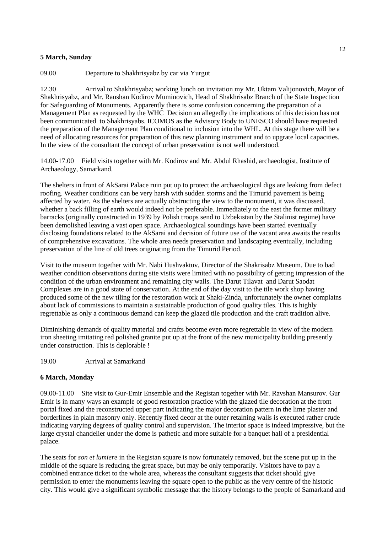### **5 March, Sunday**

09.00 Departure to Shakhrisyabz by car via Yurgut

12.30 Arrival to Shakhrisyabz; working lunch on invitation my Mr. Uktam Valijonovich, Mayor of Shakhrisyabz, and Mr. Raushan Kodirov Muminovich, Head of Shakhrisabz Branch of the State Inspection for Safeguarding of Monuments. Apparently there is some confusion concerning the preparation of a Management Plan as requested by the WHC Decision an allegedly the implications of this decision has not been communicated to Shakhrisyabs. ICOMOS as the Advisory Body to UNESCO should have requested the preparation of the Management Plan conditional to inclusion into the WHL. At this stage there will be a need of allocating resources for preparation of this new planning instrument and to upgrate local capacities. In the view of the consultant the concept of urban preservation is not well understood.

14.00-17.00 Field visits together with Mr. Kodirov and Mr. Abdul Rhashid, archaeologist, Institute of Archaeology, Samarkand.

The shelters in front of AkSarai Palace ruin put up to protect the archaeological digs are leaking from defect roofing. Weather conditions can be very harsh with sudden storms and the Timurid pavement is being affected by water. As the shelters are actually obstructing the view to the monument, it was discussed, whether a back filling of earth would indeed not be preferable. Immediately to the east the former military barracks (originally constructed in 1939 by Polish troops send to Uzbekistan by the Stalinist regime) have been demolished leaving a vast open space. Archaeological soundings have been started eventually disclosing foundations related to the AkSarai and decision of future use of the vacant area awaits the results of comprehensive excavations. The whole area needs preservation and landscaping eventually, including preservation of the line of old trees originating from the Timurid Period.

Visit to the museum together with Mr. Nabi Hushvaktuv, Director of the Shakrisabz Museum. Due to bad weather condition observations during site visits were limited with no possibility of getting impression of the condition of the urban environment and remaining city walls. The Darut Tilavat and Darut Saodat Complexes are in a good state of conservation. At the end of the day visit to the tile work shop having produced some of the new tiling for the restoration work at Shaki-Zinda, unfortunately the owner complains about lack of commissions to maintain a sustainable production of good quality tiles. This is highly regrettable as only a continuous demand can keep the glazed tile production and the craft tradition alive.

Diminishing demands of quality material and crafts become even more regrettable in view of the modern iron sheeting imitating red polished granite put up at the front of the new municipality building presently under construction. This is deplorable !

### 19.00 Arrival at Samarkand

### **6 March, Monday**

09.00-11.00 Site visit to Gur-Emir Ensemble and the Registan together with Mr. Ravshan Mansurov. Gur Emir is in many ways an example of good restoration practice with the glazed tile decoration at the front portal fixed and the reconstructed upper part indicating the major decoration pattern in the lime plaster and borderlines in plain masonry only. Recently fixed decor at the outer retaining walls is executed rather crude indicating varying degrees of quality control and supervision. The interior space is indeed impressive, but the large crystal chandelier under the dome is pathetic and more suitable for a banquet hall of a presidential palace.

The seats for *son et lumiere* in the Registan square is now fortunately removed, but the scene put up in the middle of the square is reducing the great space, but may be only temporarily. Visitors have to pay a combined entrance ticket to the whole area, whereas the consultant suggests that ticket should give permission to enter the monuments leaving the square open to the public as the very centre of the historic city. This would give a significant symbolic message that the history belongs to the people of Samarkand and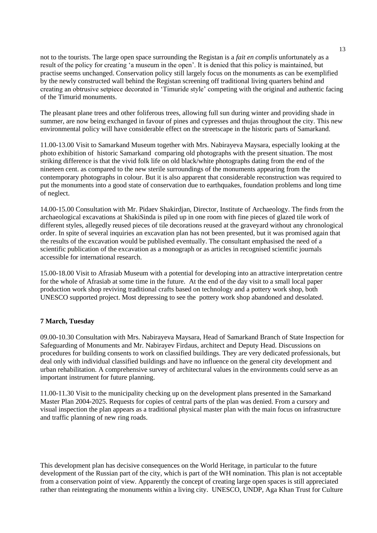not to the tourists. The large open space surrounding the Registan is a *fait en complis* unfortunately as a result of the policy for creating 'a museum in the open'. It is denied that this policy is maintained, but practise seems unchanged. Conservation policy still largely focus on the monuments as can be exemplified by the newly constructed wall behind the Registan screening off traditional living quarters behind and creating an obtrusive setpiece decorated in 'Timuride style' competing with the original and authentic facing of the Timurid monuments.

The pleasant plane trees and other foliferous trees, allowing full sun during winter and providing shade in summer, are now being exchanged in favour of pines and cypresses and thujas throughout the city. This new environmental policy will have considerable effect on the streetscape in the historic parts of Samarkand.

11.00-13.00 Visit to Samarkand Museum together with Mrs. Nabirayeva Maysara, especially looking at the photo exhibition of historic Samarkand comparing old photographs with the present situation. The most striking difference is that the vivid folk life on old black/white photographs dating from the end of the nineteen cent. as compared to the new sterile surroundings of the monuments appearing from the contemporary photographs in colour. But it is also apparent that considerable reconstruction was required to put the monuments into a good state of conservation due to earthquakes, foundation problems and long time of neglect.

14.00-15.00 Consultation with Mr. Pidaev Shakirdjan, Director, Institute of Archaeology. The finds from the archaeological excavations at ShakiSinda is piled up in one room with fine pieces of glazed tile work of different styles, allegedly reused pieces of tile decorations reused at the graveyard without any chronological order. In spite of several inquiries an excavation plan has not been presented, but it was promised again that the results of the excavation would be published eventually. The consultant emphasised the need of a scientific publication of the excavation as a monograph or as articles in recognised scientific journals accessible for international research.

15.00-18.00 Visit to Afrasiab Museum with a potential for developing into an attractive interpretation centre for the whole of Afrasiab at some time in the future. At the end of the day visit to a small local paper production work shop reviving traditional crafts based on technology and a pottery work shop, both UNESCO supported project. Most depressing to see the pottery work shop abandoned and desolated.

### **7 March, Tuesday**

09.00-10.30 Consultation with Mrs. Nabirayeva Maysara, Head of Samarkand Branch of State Inspection for Safeguarding of Monuments and Mr. Nabirayev Firdaus, architect and Deputy Head. Discussions on procedures for building consents to work on classified buildings. They are very dedicated professionals, but deal only with individual classified buildings and have no influence on the general city development and urban rehabilitation. A comprehensive survey of architectural values in the environments could serve as an important instrument for future planning.

11.00-11.30 Visit to the municipality checking up on the development plans presented in the Samarkand Master Plan 2004-2025. Requests for copies of central parts of the plan was denied. From a cursory and visual inspection the plan appears as a traditional physical master plan with the main focus on infrastructure and traffic planning of new ring roads.

This development plan has decisive consequences on the World Heritage, in particular to the future development of the Russian part of the city, which is part of the WH nomination. This plan is not acceptable from a conservation point of view. Apparently the concept of creating large open spaces is still appreciated rather than reintegrating the monuments within a living city. UNESCO, UNDP, Aga Khan Trust for Culture